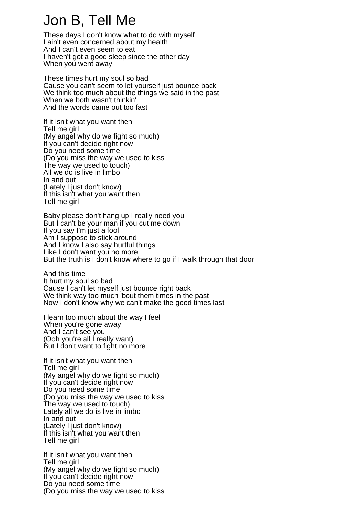## Jon B, Tell Me

These days I don't know what to do with myself I ain't even concerned about my health And I can't even seem to eat I haven't got a good sleep since the other day When you went away

These times hurt my soul so bad Cause you can't seem to let yourself just bounce back We think too much about the things we said in the past When we both wasn't thinkin' And the words came out too fast

If it isn't what you want then Tell me girl (My angel why do we fight so much) If you can't decide right now Do you need some time (Do you miss the way we used to kiss The way we used to touch) All we do is live in limbo In and out (Lately I just don't know) If this isn't what you want then Tell me girl

Baby please don't hang up I really need you But I can't be your man if you cut me down If you say I'm just a fool Am I suppose to stick around And I know I also say hurtful things Like I don't want you no more But the truth is I don't know where to go if I walk through that door

And this time It hurt my soul so bad Cause I can't let myself just bounce right back We think way too much 'bout them times in the past Now I don't know why we can't make the good times last

I learn too much about the way I feel When you're gone away And I can't see you (Ooh you're all I really want) But I don't want to fight no more

If it isn't what you want then Tell me girl (My angel why do we fight so much) If you can't decide right now Do you need some time (Do you miss the way we used to kiss The way we used to touch) Lately all we do is live in limbo In and out (Lately I just don't know) If this isn't what you want then Tell me girl

If it isn't what you want then Tell me girl (My angel why do we fight so much) If you can't decide right now Do you need some time (Do you miss the way we used to kiss